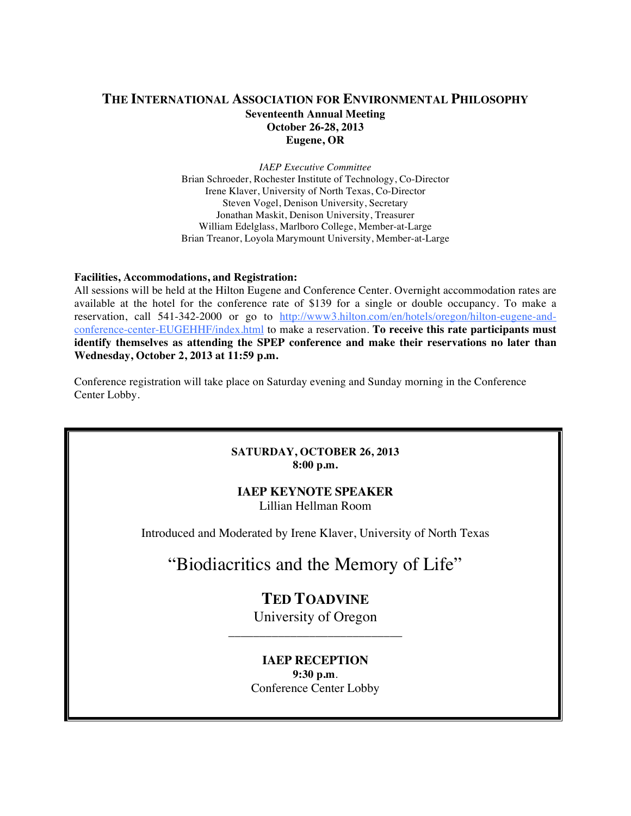# **THE INTERNATIONAL ASSOCIATION FOR ENVIRONMENTAL PHILOSOPHY Seventeenth Annual Meeting October 26-28, 2013 Eugene, OR**

*IAEP Executive Committee* Brian Schroeder, Rochester Institute of Technology, Co-Director Irene Klaver, University of North Texas, Co-Director Steven Vogel, Denison University, Secretary Jonathan Maskit, Denison University, Treasurer William Edelglass, Marlboro College, Member-at-Large Brian Treanor, Loyola Marymount University, Member-at-Large

#### **Facilities, Accommodations, and Registration:**

All sessions will be held at the Hilton Eugene and Conference Center. Overnight accommodation rates are available at the hotel for the conference rate of \$139 for a single or double occupancy. To make a reservation, call 541-342-2000 or go to http://www3.hilton.com/en/hotels/oregon/hilton-eugene-andconference-center-EUGEHHF/index.html to make a reservation. **To receive this rate participants must identify themselves as attending the SPEP conference and make their reservations no later than Wednesday, October 2, 2013 at 11:59 p.m.**

Conference registration will take place on Saturday evening and Sunday morning in the Conference Center Lobby.

#### **SATURDAY, OCTOBER 26, 2013 8:00 p.m.**

### **IAEP KEYNOTE SPEAKER**

Lillian Hellman Room

Introduced and Moderated by Irene Klaver, University of North Texas

# "Biodiacritics and the Memory of Life"

# **TED TOADVINE** University of Oregon

\_\_\_\_\_\_\_\_\_\_\_\_\_\_\_\_\_\_\_\_\_\_\_\_\_\_\_\_

# **IAEP RECEPTION 9:30 p.m**. Conference Center Lobby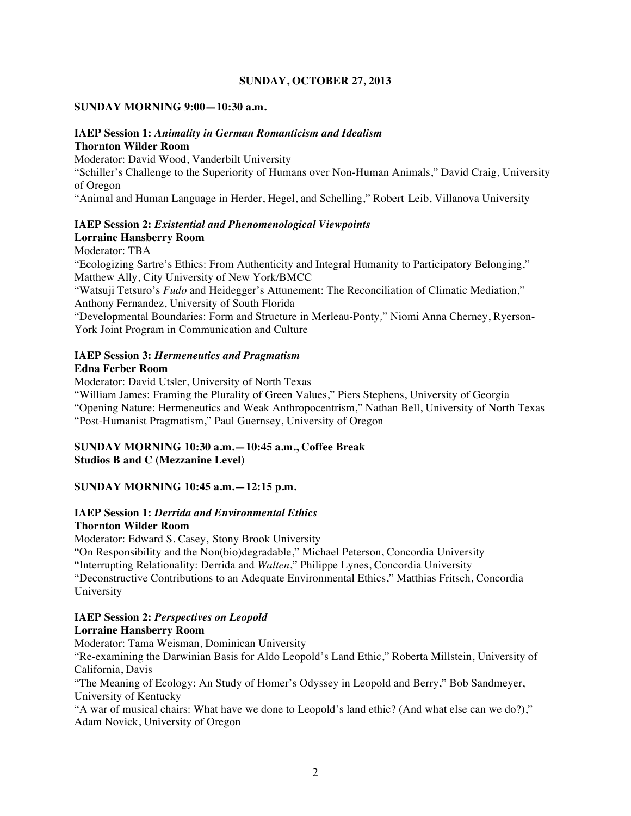#### **SUNDAY, OCTOBER 27, 2013**

#### **SUNDAY MORNING 9:00—10:30 a.m.**

# **IAEP Session 1:** *Animality in German Romanticism and Idealism*

# **Thornton Wilder Room**

Moderator: David Wood, Vanderbilt University

"Schiller's Challenge to the Superiority of Humans over Non-Human Animals," David Craig, University of Oregon

"Animal and Human Language in Herder, Hegel, and Schelling," Robert Leib, Villanova University

#### **IAEP Session 2:** *Existential and Phenomenological Viewpoints* **Lorraine Hansberry Room**

Moderator: TBA

"Ecologizing Sartre's Ethics: From Authenticity and Integral Humanity to Participatory Belonging," Matthew Ally, City University of New York/BMCC

"Watsuji Tetsuro's *Fudo* and Heidegger's Attunement: The Reconciliation of Climatic Mediation," Anthony Fernandez, University of South Florida

"Developmental Boundaries: Form and Structure in Merleau-Ponty*,*" Niomi Anna Cherney, Ryerson-York Joint Program in Communication and Culture

# **IAEP Session 3:** *Hermeneutics and Pragmatism*

#### **Edna Ferber Room**

Moderator: David Utsler, University of North Texas

"William James: Framing the Plurality of Green Values," Piers Stephens, University of Georgia "Opening Nature: Hermeneutics and Weak Anthropocentrism," Nathan Bell, University of North Texas "Post-Humanist Pragmatism," Paul Guernsey, University of Oregon

# **SUNDAY MORNING 10:30 a.m.—10:45 a.m., Coffee Break Studios B and C (Mezzanine Level)**

### **SUNDAY MORNING 10:45 a.m.—12:15 p.m.**

#### **IAEP Session 1:** *Derrida and Environmental Ethics* **Thornton Wilder Room**

Moderator: Edward S. Casey, Stony Brook University

"On Responsibility and the Non(bio)degradable," Michael Peterson, Concordia University

"Interrupting Relationality: Derrida and *Walten*," Philippe Lynes, Concordia University

"Deconstructive Contributions to an Adequate Environmental Ethics," Matthias Fritsch, Concordia University

### **IAEP Session 2:** *Perspectives on Leopold*

### **Lorraine Hansberry Room**

Moderator: Tama Weisman, Dominican University

"Re-examining the Darwinian Basis for Aldo Leopold's Land Ethic," Roberta Millstein, University of California, Davis

"The Meaning of Ecology: An Study of Homer's Odyssey in Leopold and Berry," Bob Sandmeyer, University of Kentucky

"A war of musical chairs: What have we done to Leopold's land ethic? (And what else can we do?)," Adam Novick, University of Oregon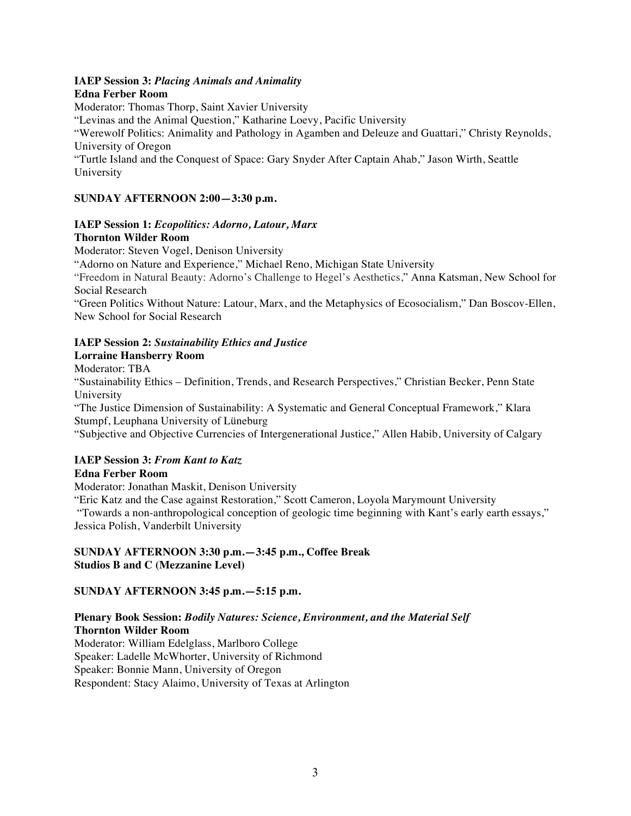#### **IAEP Session 3:** *Placing Animals and Animality*

#### **Edna Ferber Room**

Moderator: Thomas Thorp, Saint Xavier University "Levinas and the Animal Question," Katharine Loevy, Pacific University "Werewolf Politics: Animality and Pathology in Agamben and Deleuze and Guattari," Christy Reynolds, University of Oregon "Turtle Island and the Conquest of Space: Gary Snyder After Captain Ahab," Jason Wirth, Seattle University

# **SUNDAY AFTERNOON 2:00—3:30 p.m.**

# **IAEP Session 1:** *Ecopolitics: Adorno, Latour, Marx* **Thornton Wilder Room**

Moderator: Steven Vogel, Denison University

"Adorno on Nature and Experience," Michael Reno, Michigan State University

"Freedom in Natural Beauty: Adorno's Challenge to Hegel's Aesthetics," Anna Katsman, New School for Social Research

"Green Politics Without Nature: Latour, Marx, and the Metaphysics of Ecosocialism," Dan Boscov-Ellen, New School for Social Research

# **IAEP Session 2:** *Sustainability Ethics and Justice*

### **Lorraine Hansberry Room**

Moderator: TBA

"Sustainability Ethics – Definition, Trends, and Research Perspectives," Christian Becker, Penn State University

"The Justice Dimension of Sustainability: A Systematic and General Conceptual Framework," Klara Stumpf, Leuphana University of Lüneburg

"Subjective and Objective Currencies of Intergenerational Justice," Allen Habib, University of Calgary

# **IAEP Session 3:** *From Kant to Katz*

### **Edna Ferber Room**

Moderator: Jonathan Maskit, Denison University

"Eric Katz and the Case against Restoration," Scott Cameron, Loyola Marymount University "Towards a non-anthropological conception of geologic time beginning with Kant's early earth essays," Jessica Polish, Vanderbilt University

### **SUNDAY AFTERNOON 3:30 p.m.—3:45 p.m., Coffee Break Studios B and C (Mezzanine Level)**

### **SUNDAY AFTERNOON 3:45 p.m.—5:15 p.m.**

# **Plenary Book Session:** *Bodily Natures: Science, Environment, and the Material Self* **Thornton Wilder Room**

Moderator: William Edelglass, Marlboro College Speaker: Ladelle McWhorter, University of Richmond Speaker: Bonnie Mann, University of Oregon Respondent: Stacy Alaimo, University of Texas at Arlington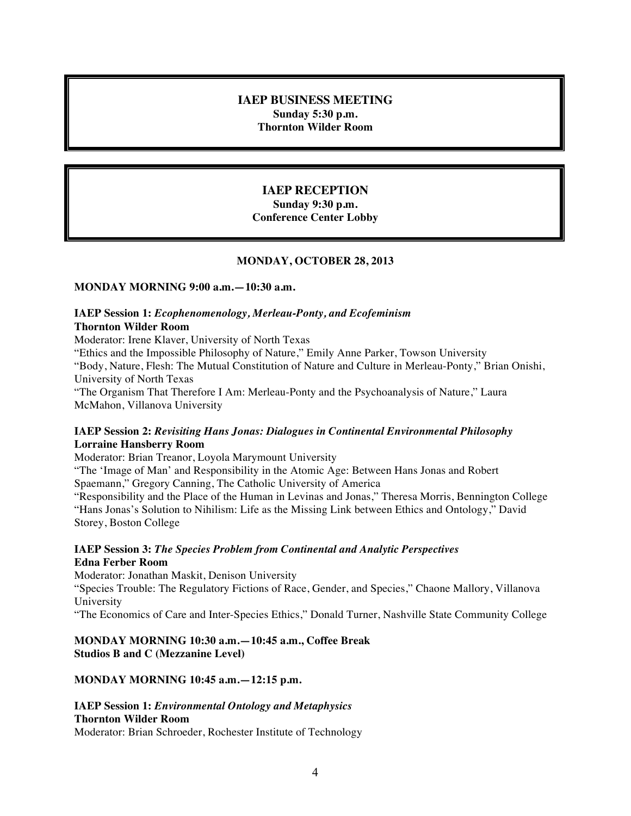### **IAEP BUSINESS MEETING Sunday 5:30 p.m. Thornton Wilder Room**

# **IAEP RECEPTION**

**Sunday 9:30 p.m. Conference Center Lobby**

#### **MONDAY, OCTOBER 28, 2013**

#### **MONDAY MORNING 9:00 a.m.—10:30 a.m.**

#### **IAEP Session 1:** *Ecophenomenology, Merleau-Ponty, and Ecofeminism* **Thornton Wilder Room**

Moderator: Irene Klaver, University of North Texas

"Ethics and the Impossible Philosophy of Nature," Emily Anne Parker, Towson University

"Body, Nature, Flesh: The Mutual Constitution of Nature and Culture in Merleau-Ponty," Brian Onishi, University of North Texas

"The Organism That Therefore I Am: Merleau-Ponty and the Psychoanalysis of Nature," Laura McMahon, Villanova University

# **IAEP Session 2:** *Revisiting Hans Jonas: Dialogues in Continental Environmental Philosophy* **Lorraine Hansberry Room**

Moderator: Brian Treanor, Loyola Marymount University

"The 'Image of Man' and Responsibility in the Atomic Age: Between Hans Jonas and Robert Spaemann," Gregory Canning, The Catholic University of America

"Responsibility and the Place of the Human in Levinas and Jonas," Theresa Morris, Bennington College "Hans Jonas's Solution to Nihilism: Life as the Missing Link between Ethics and Ontology," David Storey, Boston College

#### **IAEP Session 3:** *The Species Problem from Continental and Analytic Perspectives* **Edna Ferber Room**

Moderator: Jonathan Maskit, Denison University

"Species Trouble: The Regulatory Fictions of Race, Gender, and Species," Chaone Mallory, Villanova University

"The Economics of Care and Inter-Species Ethics," Donald Turner, Nashville State Community College

# **MONDAY MORNING 10:30 a.m.—10:45 a.m., Coffee Break Studios B and C (Mezzanine Level)**

### **MONDAY MORNING 10:45 a.m.—12:15 p.m.**

#### **IAEP Session 1:** *Environmental Ontology and Metaphysics* **Thornton Wilder Room**

Moderator: Brian Schroeder, Rochester Institute of Technology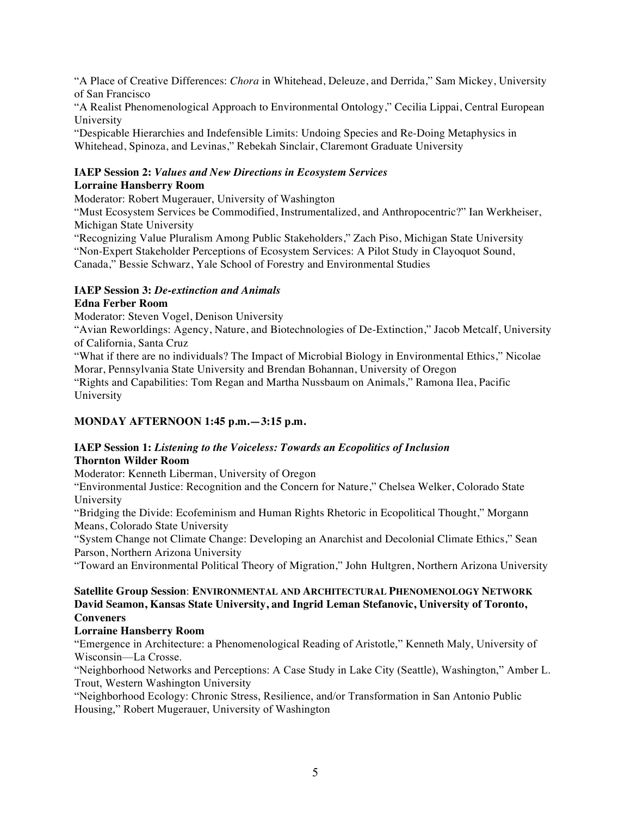"A Place of Creative Differences: *Chora* in Whitehead, Deleuze, and Derrida," Sam Mickey, University of San Francisco

"A Realist Phenomenological Approach to Environmental Ontology," Cecilia Lippai, Central European University

"Despicable Hierarchies and Indefensible Limits: Undoing Species and Re-Doing Metaphysics in Whitehead, Spinoza, and Levinas," Rebekah Sinclair, Claremont Graduate University

# **IAEP Session 2:** *Values and New Directions in Ecosystem Services* **Lorraine Hansberry Room**

Moderator: Robert Mugerauer, University of Washington

"Must Ecosystem Services be Commodified, Instrumentalized, and Anthropocentric?" Ian Werkheiser, Michigan State University

"Recognizing Value Pluralism Among Public Stakeholders," Zach Piso, Michigan State University "Non-Expert Stakeholder Perceptions of Ecosystem Services: A Pilot Study in Clayoquot Sound, Canada," Bessie Schwarz, Yale School of Forestry and Environmental Studies

# **IAEP Session 3:** *De-extinction and Animals*

# **Edna Ferber Room**

Moderator: Steven Vogel, Denison University

"Avian Reworldings: Agency, Nature, and Biotechnologies of De-Extinction," Jacob Metcalf, University of California, Santa Cruz

"What if there are no individuals? The Impact of Microbial Biology in Environmental Ethics," Nicolae Morar, Pennsylvania State University and Brendan Bohannan, University of Oregon

"Rights and Capabilities: Tom Regan and Martha Nussbaum on Animals," Ramona Ilea, Pacific University

# **MONDAY AFTERNOON 1:45 p.m.—3:15 p.m.**

# **IAEP Session 1:** *Listening to the Voiceless: Towards an Ecopolitics of Inclusion* **Thornton Wilder Room**

Moderator: Kenneth Liberman, University of Oregon

"Environmental Justice: Recognition and the Concern for Nature," Chelsea Welker, Colorado State University

"Bridging the Divide: Ecofeminism and Human Rights Rhetoric in Ecopolitical Thought," Morgann Means, Colorado State University

"System Change not Climate Change: Developing an Anarchist and Decolonial Climate Ethics," Sean Parson, Northern Arizona University

"Toward an Environmental Political Theory of Migration," John Hultgren, Northern Arizona University

# **Satellite Group Session**: **ENVIRONMENTAL AND ARCHITECTURAL PHENOMENOLOGY NETWORK David Seamon, Kansas State University, and Ingrid Leman Stefanovic, University of Toronto, Conveners**

# **Lorraine Hansberry Room**

"Emergence in Architecture: a Phenomenological Reading of Aristotle," Kenneth Maly, University of Wisconsin—La Crosse.

"Neighborhood Networks and Perceptions: A Case Study in Lake City (Seattle), Washington," Amber L. Trout, Western Washington University

"Neighborhood Ecology: Chronic Stress, Resilience, and/or Transformation in San Antonio Public Housing," Robert Mugerauer, University of Washington